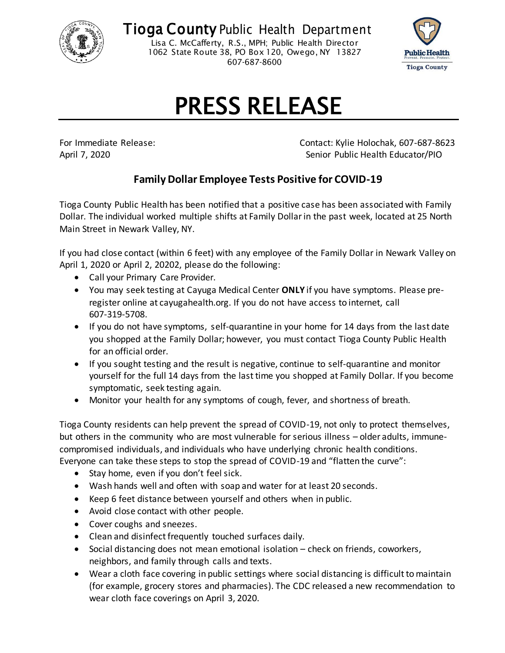

**Tioga County Public Health Department** Lisa C. McCafferty, R.S., MPH; Public Health Director 1062 State Route 38, PO Box 120, Owego, NY 13827

607-687-8600



## PRESS RELEASE

For Immediate Release: Contact: Kylie Holochak, 607-687-8623 April 7, 2020 April 7, 2020

## **Family Dollar Employee Tests Positive for COVID-19**

Tioga County Public Health has been notified that a positive case has been associated with Family Dollar. The individual worked multiple shifts at Family Dollar in the past week, located at 25 North Main Street in Newark Valley, NY.

If you had close contact (within 6 feet) with any employee of the Family Dollar in Newark Valley on April 1, 2020 or April 2, 20202, please do the following:

- Call your Primary Care Provider.
- You may seek testing at Cayuga Medical Center **ONLY** if you have symptoms. Please preregister online at cayugahealth.org. If you do not have access to internet, call 607-319-5708.
- If you do not have symptoms, self-quarantine in your home for 14 days from the last date you shopped at the Family Dollar; however, you must contact Tioga County Public Health for an official order.
- If you sought testing and the result is negative, continue to self-quarantine and monitor yourself for the full 14 days from the last time you shopped at Family Dollar. If you become symptomatic, seek testing again.
- Monitor your health for any symptoms of cough, fever, and shortness of breath.

Tioga County residents can help prevent the spread of COVID-19, not only to protect themselves, but others in the community who are most vulnerable for serious illness – older adults, immunecompromised individuals, and individuals who have underlying chronic health conditions. Everyone can take these steps to stop the spread of COVID-19 and "flatten the curve":

- Stay home, even if you don't feel sick.
- Wash hands well and often with soap and water for at least 20 seconds.
- Keep 6 feet distance between yourself and others when in public.
- Avoid close contact with other people.
- Cover coughs and sneezes.
- Clean and disinfect frequently touched surfaces daily.
- Social distancing does not mean emotional isolation check on friends, coworkers, neighbors, and family through calls and texts.
- Wear a cloth face covering in public settings where social distancing is difficult to maintain (for example, grocery stores and pharmacies). The CDC released a new recommendation to wear cloth face coverings on April 3, 2020.